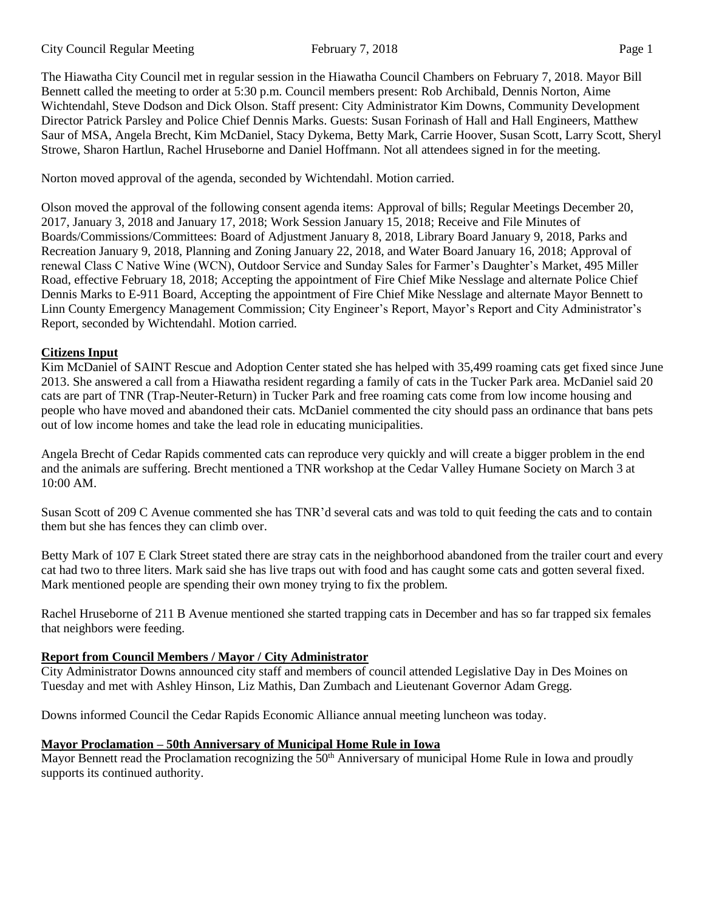The Hiawatha City Council met in regular session in the Hiawatha Council Chambers on February 7, 2018. Mayor Bill Bennett called the meeting to order at 5:30 p.m. Council members present: Rob Archibald, Dennis Norton, Aime Wichtendahl, Steve Dodson and Dick Olson. Staff present: City Administrator Kim Downs, Community Development Director Patrick Parsley and Police Chief Dennis Marks. Guests: Susan Forinash of Hall and Hall Engineers, Matthew Saur of MSA, Angela Brecht, Kim McDaniel, Stacy Dykema, Betty Mark, Carrie Hoover, Susan Scott, Larry Scott, Sheryl Strowe, Sharon Hartlun, Rachel Hruseborne and Daniel Hoffmann. Not all attendees signed in for the meeting.

Norton moved approval of the agenda, seconded by Wichtendahl. Motion carried.

Olson moved the approval of the following consent agenda items: Approval of bills; Regular Meetings December 20, 2017, January 3, 2018 and January 17, 2018; Work Session January 15, 2018; Receive and File Minutes of Boards/Commissions/Committees: Board of Adjustment January 8, 2018, Library Board January 9, 2018, Parks and Recreation January 9, 2018, Planning and Zoning January 22, 2018, and Water Board January 16, 2018; Approval of renewal Class C Native Wine (WCN), Outdoor Service and Sunday Sales for Farmer's Daughter's Market, 495 Miller Road, effective February 18, 2018; Accepting the appointment of Fire Chief Mike Nesslage and alternate Police Chief Dennis Marks to E-911 Board, Accepting the appointment of Fire Chief Mike Nesslage and alternate Mayor Bennett to Linn County Emergency Management Commission; City Engineer's Report, Mayor's Report and City Administrator's Report, seconded by Wichtendahl. Motion carried.

### **Citizens Input**

Kim McDaniel of SAINT Rescue and Adoption Center stated she has helped with 35,499 roaming cats get fixed since June 2013. She answered a call from a Hiawatha resident regarding a family of cats in the Tucker Park area. McDaniel said 20 cats are part of TNR (Trap-Neuter-Return) in Tucker Park and free roaming cats come from low income housing and people who have moved and abandoned their cats. McDaniel commented the city should pass an ordinance that bans pets out of low income homes and take the lead role in educating municipalities.

Angela Brecht of Cedar Rapids commented cats can reproduce very quickly and will create a bigger problem in the end and the animals are suffering. Brecht mentioned a TNR workshop at the Cedar Valley Humane Society on March 3 at 10:00 AM.

Susan Scott of 209 C Avenue commented she has TNR'd several cats and was told to quit feeding the cats and to contain them but she has fences they can climb over.

Betty Mark of 107 E Clark Street stated there are stray cats in the neighborhood abandoned from the trailer court and every cat had two to three liters. Mark said she has live traps out with food and has caught some cats and gotten several fixed. Mark mentioned people are spending their own money trying to fix the problem.

Rachel Hruseborne of 211 B Avenue mentioned she started trapping cats in December and has so far trapped six females that neighbors were feeding.

### **Report from Council Members / Mayor / City Administrator**

City Administrator Downs announced city staff and members of council attended Legislative Day in Des Moines on Tuesday and met with Ashley Hinson, Liz Mathis, Dan Zumbach and Lieutenant Governor Adam Gregg.

Downs informed Council the Cedar Rapids Economic Alliance annual meeting luncheon was today.

### **Mayor Proclamation – 50th Anniversary of Municipal Home Rule in Iowa**

Mayor Bennett read the Proclamation recognizing the 50<sup>th</sup> Anniversary of municipal Home Rule in Iowa and proudly supports its continued authority.